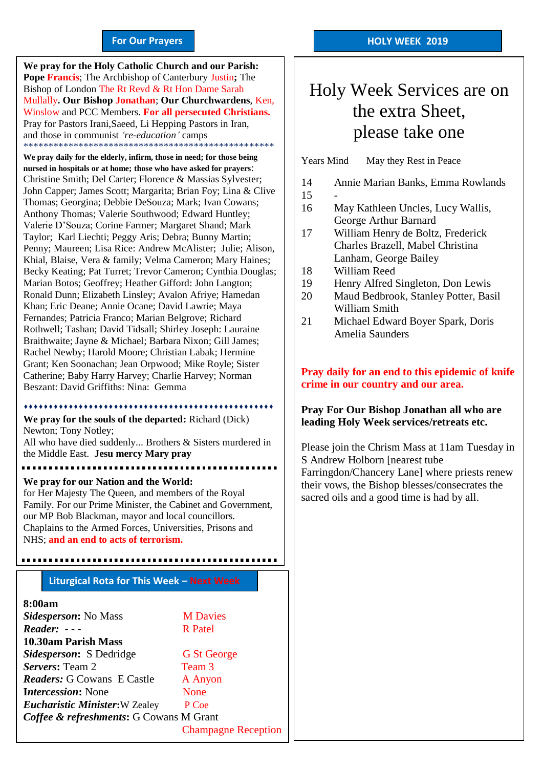#### **For Our Prayers**

arted Mullally**. Our Bishop Jonathan**; **Our Churchwardens**, Ken, **We pray for the Holy Catholic Church and our Parish: Pope Francis**; The Archbishop of Canterbury Justin**;** The Bishop of London The Rt Revd & Rt Hon Dame Sarah Winslow and PCC Members. **For all persecuted Christians.** Pray for Pastors Irani,Saeed, Li Hepping Pastors in Iran, and those in communist *'re-education'* camps \*\*\*\*\*\*\*\*\*\*\*\*\*\*\*\*\*\*\*\*\*\*\*\*\*\*\*\*\*\*\*\*\*\*\*\*\*\*\*\*\*\*\*\*\*\*\*\*\*\*

**We pray daily for the elderly, infirm, those in need; for those being nursed in hospitals or at home; those who have asked for prayers**: Christine Smith; Del Carter; Florence & Massias Sylvester; John Capper; James Scott; Margarita; Brian Foy; Lina & Clive Thomas; Georgina; Debbie DeSouza; Mark; Ivan Cowans; Anthony Thomas; Valerie Southwood; Edward Huntley; Valerie D'Souza; Corine Farmer; Margaret Shand; Mark Taylor; Karl Liechti; Peggy Aris; Debra; Bunny Martin; Penny; Maureen; Lisa Rice: Andrew McAlister; Julie; Alison, Khial, Blaise, Vera & family; Velma Cameron; Mary Haines; Becky Keating; Pat Turret; Trevor Cameron; Cynthia Douglas; Marian Botos; Geoffrey; Heather Gifford: John Langton; Ronald Dunn; Elizabeth Linsley; Avalon Afriye; Hamedan Khan; Eric Deane; Annie Ocane; David Lawrie; Maya Fernandes; Patricia Franco; Marian Belgrove; Richard Rothwell; Tashan; David Tidsall; Shirley Joseph: Lauraine Braithwaite; Jayne & Michael; Barbara Nixon; Gill James; Rachel Newby; Harold Moore; Christian Labak; Hermine Grant; Ken Soonachan; Jean Orpwood; Mike Royle; Sister Catherine; Baby Harry Harvey; Charlie Harvey; Norman Beszant: David Griffiths: Nina: Gemma

#### 

**We pray for the souls of the departed:** Richard (Dick) Newton; Tony Notley;

All who have died suddenly... Brothers & Sisters murdered in the Middle East. **Jesu mercy Mary pray**

<u>. . . . . . . . . . . . . .</u>

**We pray for our Nation and the World:**

for Her Majesty The Queen, and members of the Royal Family. For our Prime Minister, the Cabinet and Government, our MP Bob Blackman, mayor and local councillors. Chaplains to the Armed Forces, Universities, Prisons and NHS; **and an end to acts of terrorism.**

**Liturgical Rota for This Week – Next Week**

#### **8:00am**

| Sidesperson: No Mass                    | <b>M</b> Davies            |
|-----------------------------------------|----------------------------|
| $Reader: - -$                           | <b>R</b> Patel             |
| 10.30am Parish Mass                     |                            |
| <i>Sidesperson:</i> S Dedridge          | <b>G</b> St George         |
| Servers: Team 2                         | Team 3                     |
| <b>Readers: G Cowans E Castle</b>       | A Anyon                    |
| <b>Intercession:</b> None               | <b>None</b>                |
| <b>Eucharistic Minister: W Zealey</b>   | P Coe                      |
| Coffee & refreshments: G Cowans M Grant |                            |
|                                         | <b>Champagne Reception</b> |

### Holy Week Services are on the extra Sheet, please take one

Years Mind May they Rest in Peace

- 14 Annie Marian Banks, Emma Rowlands
- 15 -
- 16 May Kathleen Uncles, Lucy Wallis, George Arthur Barnard
- 17 William Henry de Boltz, Frederick Charles Brazell, Mabel Christina Lanham, George Bailey
- 18 William Reed
- 19 Henry Alfred Singleton, Don Lewis
- 20 Maud Bedbrook, Stanley Potter, Basil William Smith
- 21 Michael Edward Boyer Spark, Doris Amelia Saunders

### **Pray daily for an end to this epidemic of knife crime in our country and our area.**

#### **Pray For Our Bishop Jonathan all who are leading Holy Week services/retreats etc.**

Please join the Chrism Mass at 11am Tuesday in S Andrew Holborn [nearest tube Farringdon/Chancery Lane] where priests renew their vows, the Bishop blesses/consecrates the sacred oils and a good time is had by all.